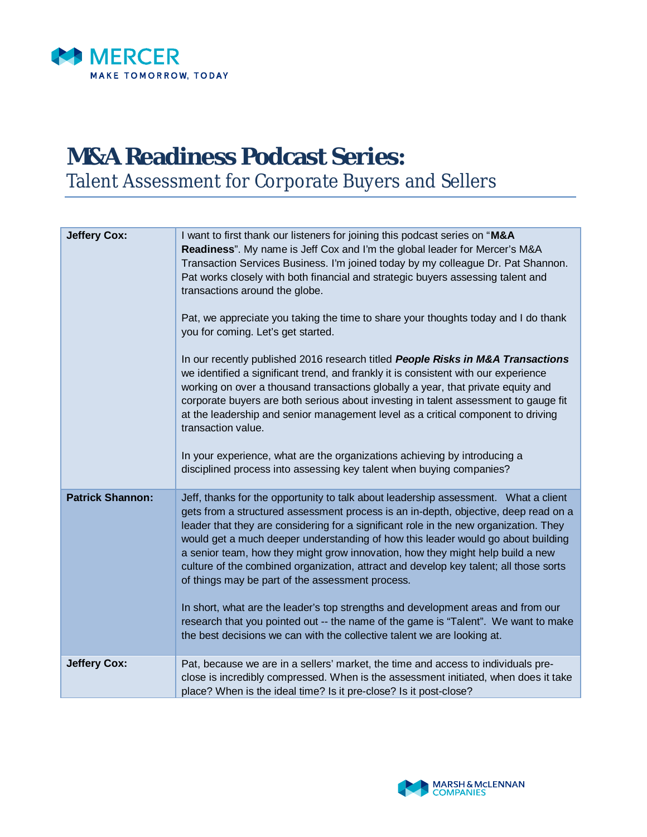

## **M&A Readiness Podcast Series:** Talent Assessment for Corporate Buyers and Sellers

| <b>Jeffery Cox:</b>     | I want to first thank our listeners for joining this podcast series on "M&A<br>Readiness". My name is Jeff Cox and I'm the global leader for Mercer's M&A<br>Transaction Services Business. I'm joined today by my colleague Dr. Pat Shannon.<br>Pat works closely with both financial and strategic buyers assessing talent and<br>transactions around the globe.<br>Pat, we appreciate you taking the time to share your thoughts today and I do thank<br>you for coming. Let's get started.<br>In our recently published 2016 research titled People Risks in M&A Transactions<br>we identified a significant trend, and frankly it is consistent with our experience<br>working on over a thousand transactions globally a year, that private equity and<br>corporate buyers are both serious about investing in talent assessment to gauge fit<br>at the leadership and senior management level as a critical component to driving<br>transaction value.<br>In your experience, what are the organizations achieving by introducing a<br>disciplined process into assessing key talent when buying companies? |
|-------------------------|--------------------------------------------------------------------------------------------------------------------------------------------------------------------------------------------------------------------------------------------------------------------------------------------------------------------------------------------------------------------------------------------------------------------------------------------------------------------------------------------------------------------------------------------------------------------------------------------------------------------------------------------------------------------------------------------------------------------------------------------------------------------------------------------------------------------------------------------------------------------------------------------------------------------------------------------------------------------------------------------------------------------------------------------------------------------------------------------------------------------|
| <b>Patrick Shannon:</b> | Jeff, thanks for the opportunity to talk about leadership assessment. What a client<br>gets from a structured assessment process is an in-depth, objective, deep read on a<br>leader that they are considering for a significant role in the new organization. They<br>would get a much deeper understanding of how this leader would go about building<br>a senior team, how they might grow innovation, how they might help build a new<br>culture of the combined organization, attract and develop key talent; all those sorts<br>of things may be part of the assessment process.<br>In short, what are the leader's top strengths and development areas and from our<br>research that you pointed out -- the name of the game is "Talent". We want to make<br>the best decisions we can with the collective talent we are looking at.                                                                                                                                                                                                                                                                        |
| <b>Jeffery Cox:</b>     | Pat, because we are in a sellers' market, the time and access to individuals pre-<br>close is incredibly compressed. When is the assessment initiated, when does it take<br>place? When is the ideal time? Is it pre-close? Is it post-close?                                                                                                                                                                                                                                                                                                                                                                                                                                                                                                                                                                                                                                                                                                                                                                                                                                                                      |

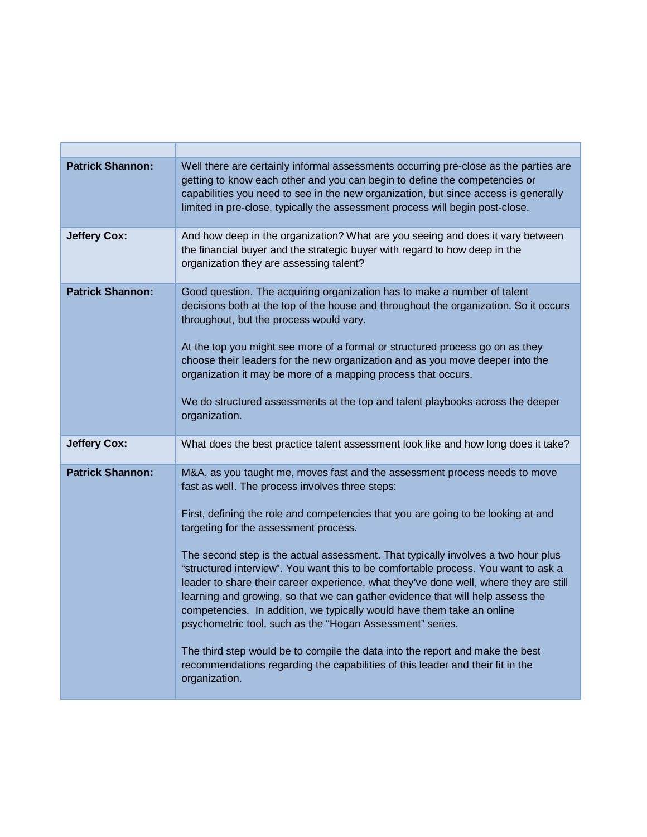| <b>Patrick Shannon:</b> | Well there are certainly informal assessments occurring pre-close as the parties are<br>getting to know each other and you can begin to define the competencies or<br>capabilities you need to see in the new organization, but since access is generally<br>limited in pre-close, typically the assessment process will begin post-close.                                                                                                                                                                                                                                                                                                                                                                                                                                                                                                                                                                                                   |
|-------------------------|----------------------------------------------------------------------------------------------------------------------------------------------------------------------------------------------------------------------------------------------------------------------------------------------------------------------------------------------------------------------------------------------------------------------------------------------------------------------------------------------------------------------------------------------------------------------------------------------------------------------------------------------------------------------------------------------------------------------------------------------------------------------------------------------------------------------------------------------------------------------------------------------------------------------------------------------|
| <b>Jeffery Cox:</b>     | And how deep in the organization? What are you seeing and does it vary between<br>the financial buyer and the strategic buyer with regard to how deep in the<br>organization they are assessing talent?                                                                                                                                                                                                                                                                                                                                                                                                                                                                                                                                                                                                                                                                                                                                      |
| <b>Patrick Shannon:</b> | Good question. The acquiring organization has to make a number of talent<br>decisions both at the top of the house and throughout the organization. So it occurs<br>throughout, but the process would vary.<br>At the top you might see more of a formal or structured process go on as they<br>choose their leaders for the new organization and as you move deeper into the<br>organization it may be more of a mapping process that occurs.<br>We do structured assessments at the top and talent playbooks across the deeper<br>organization.                                                                                                                                                                                                                                                                                                                                                                                            |
| <b>Jeffery Cox:</b>     | What does the best practice talent assessment look like and how long does it take?                                                                                                                                                                                                                                                                                                                                                                                                                                                                                                                                                                                                                                                                                                                                                                                                                                                           |
| <b>Patrick Shannon:</b> | M&A, as you taught me, moves fast and the assessment process needs to move<br>fast as well. The process involves three steps:<br>First, defining the role and competencies that you are going to be looking at and<br>targeting for the assessment process.<br>The second step is the actual assessment. That typically involves a two hour plus<br>"structured interview". You want this to be comfortable process. You want to ask a<br>leader to share their career experience, what they've done well, where they are still<br>learning and growing, so that we can gather evidence that will help assess the<br>competencies. In addition, we typically would have them take an online<br>psychometric tool, such as the "Hogan Assessment" series.<br>The third step would be to compile the data into the report and make the best<br>recommendations regarding the capabilities of this leader and their fit in the<br>organization. |